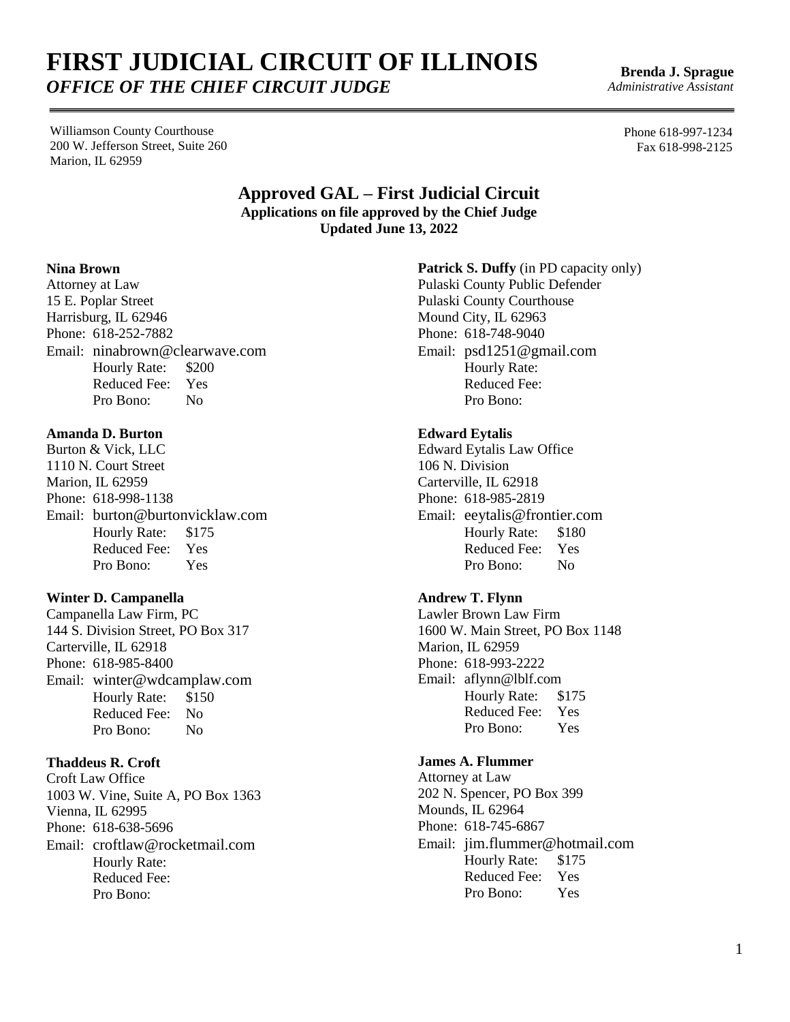Williamson County Courthouse 200 W. Jefferson Street, Suite 260 Marion, IL 62959

> **Approved GAL – First Judicial Circuit Applications on file approved by the Chief Judge Updated June 13, 2022**

#### **Nina Brown**

Attorney at Law 15 E. Poplar Street Harrisburg, IL 62946 Phone: 618-252-7882 Email: [ninabrown@clearwave.com](mailto:ninabrown@clearwave.com) Hourly Rate: \$200 Reduced Fee: Yes Pro Bono: No

## **Amanda D. Burton**

Burton & Vick, LLC 1110 N. Court Street Marion, IL 62959 Phone: 618-998-1138 Email: [burton@burtonvicklaw.com](mailto:burton@burtonvicklaw.com) Hourly Rate: \$175 Reduced Fee: Yes Pro Bono: Yes

## **Winter D. Campanella**

Campanella Law Firm, PC 144 S. Division Street, PO Box 317 Carterville, IL 62918 Phone: 618-985-8400 Email: [winter@wdcamplaw.com](mailto:winter@wdcamplaw.com) Hourly Rate: \$150 Reduced Fee: No Pro Bono: No

#### **Thaddeus R. Croft**

Croft Law Office 1003 W. Vine, Suite A, PO Box 1363 Vienna, IL 62995 Phone: 618-638-5696 Email: [croftlaw@rocketmail.com](mailto:croftlaw@rocketmail.com) Hourly Rate: Reduced Fee: Pro Bono:

**Patrick S. Duffy** (in PD capacity only) Pulaski County Public Defender

Pulaski County Courthouse Mound City, IL 62963 Phone: 618-748-9040 Email: psd1251@gmail.com Hourly Rate: Reduced Fee: Pro Bono:

#### **Edward Eytalis**

Edward Eytalis Law Office 106 N. Division Carterville, IL 62918 Phone: 618-985-2819 Email: eeytalis@frontier.com Hourly Rate: \$180 Reduced Fee: Yes Pro Bono: No

## **Andrew T. Flynn**

Lawler Brown Law Firm 1600 W. Main Street, PO Box 1148 Marion, IL 62959 Phone: 618-993-2222 Email: [aflynn@lblf.com](mailto:aflynn@lblf.com) Hourly Rate: \$175 Reduced Fee: Yes Pro Bono: Yes

## **James A. Flummer**

Attorney at Law 202 N. Spencer, PO Box 399 Mounds, IL 62964 Phone: 618-745-6867 Email: [jim.flummer@hotmail.com](mailto:jim.flummer@hotmail.com) Hourly Rate: \$175 Reduced Fee: Yes Pro Bono: Yes

Phone 618-997-1234

**Brenda J. Sprague** *Administrative Assistant*

Fax 618-998-2125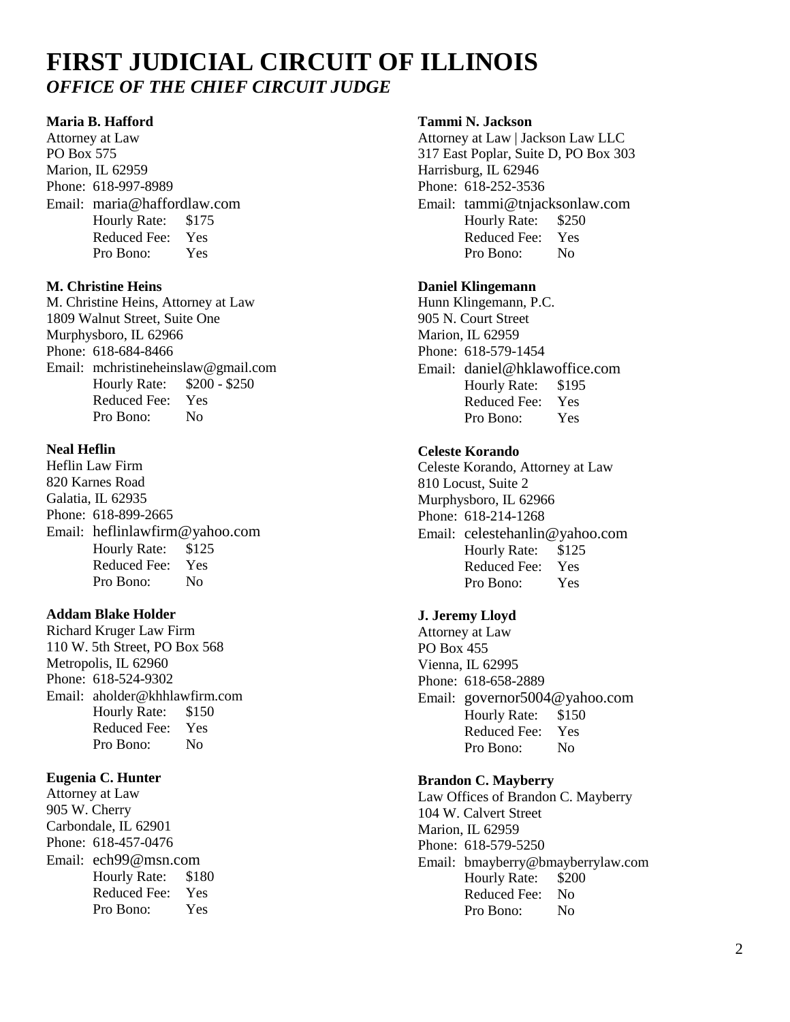#### **Maria B. Hafford**

Attorney at Law PO Box 575 Marion, IL 62959 Phone: 618-997-8989 Email: maria@haffordlaw.com Hourly Rate: \$175 Reduced Fee: Yes Pro Bono: Yes

## **M. Christine Heins**

M. Christine Heins, Attorney at Law 1809 Walnut Street, Suite One Murphysboro, IL 62966 Phone: 618-684-8466 Email: [mchristineheinslaw@gmail.com](mailto:mchristineheinslaw@gmail.com) Hourly Rate: \$200 - \$250 Reduced Fee: Yes Pro Bono: No

## **Neal Heflin**

Heflin Law Firm 820 Karnes Road Galatia, IL 62935 Phone: 618-899-2665 Email: [heflinlawfirm@yahoo.com](mailto:heflinlawfirm@yahoo.com) Hourly Rate: \$125 Reduced Fee: Yes Pro Bono: No

## **Addam Blake Holder**

Richard Kruger Law Firm 110 W. 5th Street, PO Box 568 Metropolis, IL 62960 Phone: 618-524-9302 Email: [aholder@khhlawfirm.com](mailto:aholder@khhlawfirm.com) Hourly Rate: \$150 Reduced Fee: Yes Pro Bono: No

## **Eugenia C. Hunter**

Attorney at Law 905 W. Cherry Carbondale, IL 62901 Phone: 618-457-0476 Email: [ech99@msn.com](mailto:ech99@msn.com) Hourly Rate: \$180 Reduced Fee: Yes Pro Bono: Yes

## **Tammi N. Jackson**

Attorney at Law | Jackson Law LLC 317 East Poplar, Suite D, PO Box 303 Harrisburg, IL 62946 Phone: 618-252-3536 Email: tammi@tnjacksonlaw.com Hourly Rate: \$250 Reduced Fee: Yes Pro Bono: No

#### **Daniel Klingemann**

Hunn Klingemann, P.C. 905 N. Court Street Marion, IL 62959 Phone: 618-579-1454 Email: daniel@hklawoffice.com Hourly Rate: \$195 Reduced Fee: Yes Pro Bono: Yes

## **Celeste Korando**

Celeste Korando, Attorney at Law 810 Locust, Suite 2 Murphysboro, IL 62966 Phone: 618-214-1268 Email: [celestehanlin@yahoo.com](mailto:elestehanlin@yahoo.com) Hourly Rate: \$125 Reduced Fee: Yes Pro Bono: Yes

#### **J. Jeremy Lloyd**

Attorney at Law PO Box 455 Vienna, IL 62995 Phone: 618-658-2889 Email: [governor5004@yahoo.com](mailto:governor5004@yahoo.com) Hourly Rate: \$150 Reduced Fee: Yes Pro Bono: No

#### **Brandon C. Mayberry**

Law Offices of Brandon C. Mayberry 104 W. Calvert Street Marion, IL 62959 Phone: 618-579-5250 Email: [bmayberry@bmayberrylaw.com](mailto:bmayberry@bmayberrylaw.com) Hourly Rate: Reduced Fee: No Pro Bono: No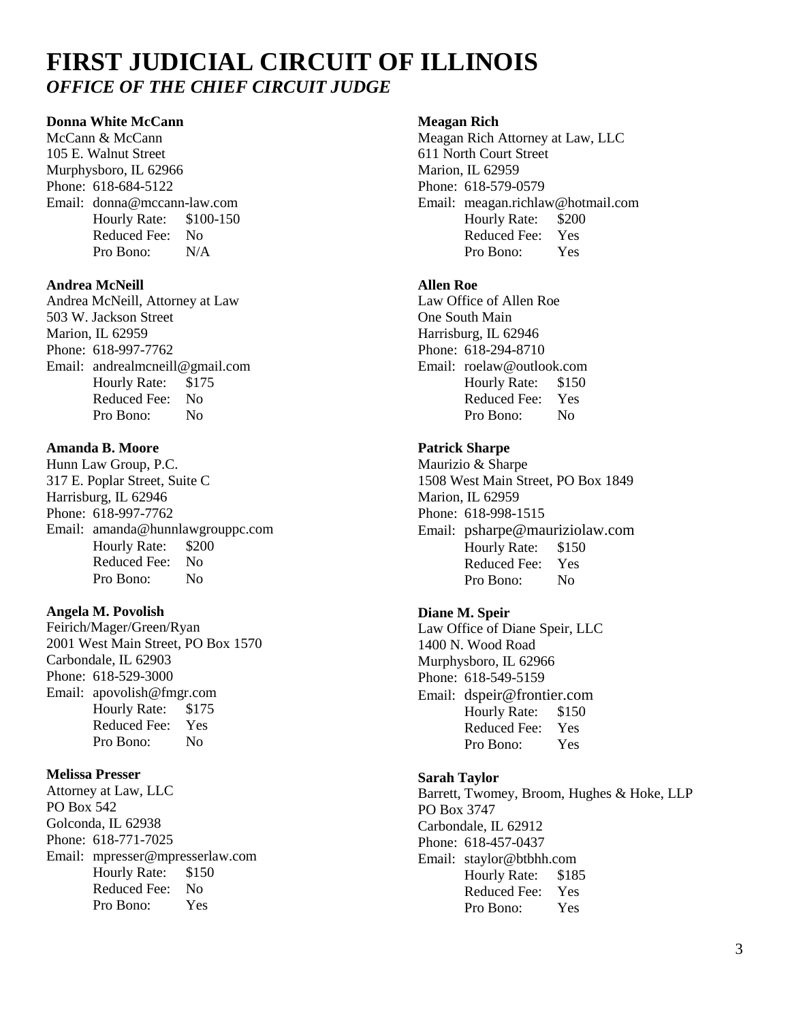## **Donna White McCann**

McCann & McCann 105 E. Walnut Street Murphysboro, IL 62966 Phone: 618-684-5122 Email: [donna@mccann-law.com](mailto:donna@mccann-law.com) Hourly Rate: \$100-150 Reduced Fee: No Pro Bono: N/A

#### **Andrea McNeill**

Andrea McNeill, Attorney at Law 503 W. Jackson Street Marion, IL 62959 Phone: 618-997-7762 Email: [andrealmcneill@gmail.com](mailto:andrealmcneill@gmail.com) Hourly Rate: \$175 Reduced Fee: No Pro Bono: No

#### **Amanda B. Moore**

Hunn Law Group, P.C. 317 E. Poplar Street, Suite C Harrisburg, IL 62946 Phone: 618-997-7762 Email: [amanda@hunnlawgrouppc.com](mailto:amanda@hunnlawgrouppc.com) Hourly Rate: \$200 Reduced Fee: No Pro Bono: No

#### **Angela M. Povolish**

Feirich/Mager/Green/Ryan 2001 West Main Street, PO Box 1570 Carbondale, IL 62903 Phone: 618-529-3000 Email: apovolish@fmgr.com Hourly Rate: \$175 Reduced Fee: Yes Pro Bono: No

## **Melissa Presser**

Attorney at Law, LLC PO Box 542 Golconda, IL 62938 Phone: 618-771-7025 Email: [mpresser@mpresserlaw.com](mailto:mpresser@mpresserlaw.com) Hourly Rate: \$150 Reduced Fee: No Pro Bono: Yes

#### **Meagan Rich**

Meagan Rich Attorney at Law, LLC 611 North Court Street Marion, IL 62959 Phone: 618-579-0579 Email: [meagan.richlaw@hotmail.com](mailto:meagan.richlaw@hotmail.com) Hourly Rate: \$200<br>Reduced Fee: Yes Reduced Fee: Pro Bono: Yes

## **Allen Roe**

Law Office of Allen Roe One South Main Harrisburg, IL 62946 Phone: 618-294-8710 Email: [roelaw@outlook.com](mailto:roelaw@outlook.com) Hourly Rate: \$150 Reduced Fee: Yes Pro Bono: No

## **Patrick Sharpe**

Maurizio & Sharpe 1508 West Main Street, PO Box 1849 Marion, IL 62959 Phone: 618-998-1515 Email: [psharpe@mauriziolaw.com](mailto:psharpe@mauriziolaw.com) Hourly Rate: \$150 Reduced Fee: Yes Pro Bono: No

#### **Diane M. Speir**

Law Office of Diane Speir, LLC 1400 N. Wood Road Murphysboro, IL 62966 Phone: 618-549-5159 Email: [dspeir@frontier.com](mailto:dspeir@frontier.com) Hourly Rate: \$150 Reduced Fee: Yes Pro Bono: Yes

#### **Sarah Taylor**

Barrett, Twomey, Broom, Hughes & Hoke, LLP PO Box 3747 Carbondale, IL 62912 Phone: 618-457-0437 Email: [staylor@btbhh.com](mailto:staylor@btbhh.com) Hourly Rate: \$185 Reduced Fee: Yes Pro Bono: Yes